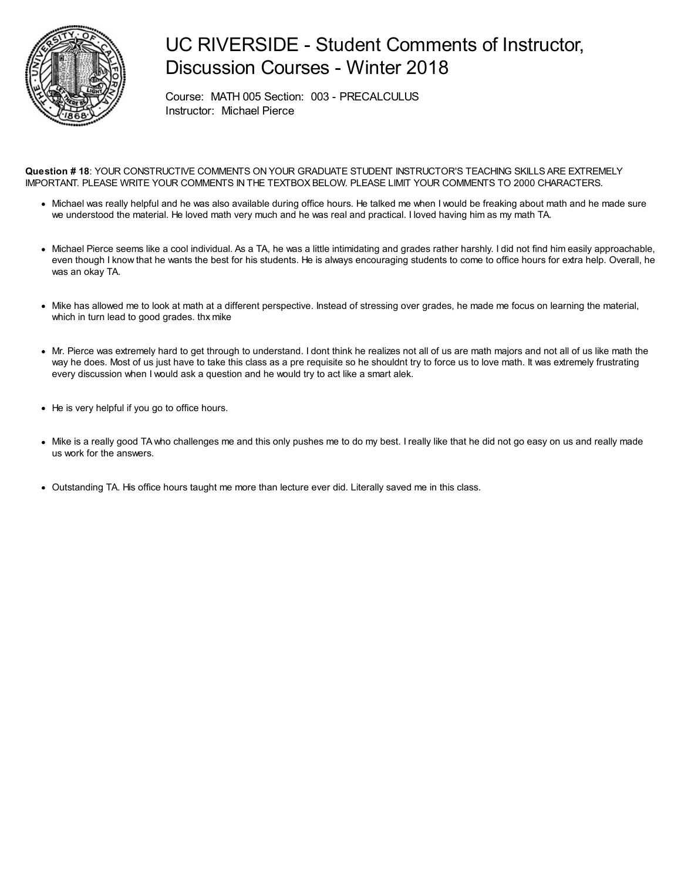

## UC RIVERSIDE - Student Comments of Instructor, Discussion Courses - Winter 2018

Course: MATH 005 Section: 003 - PRECALCULUS Instructor: Michael Pierce

**Question # 18**: YOUR CONSTRUCTIVE COMMENTS ON YOUR GRADUATE STUDENT INSTRUCTOR'S TEACHING SKILLS ARE EXTREMELY IMPORTANT. PLEASE WRITE YOUR COMMENTS IN THE TEXTBOX BELOW. PLEASE LIMIT YOUR COMMENTS TO 2000 CHARACTERS.

- Michael was really helpful and he was also available during office hours. He talked me when I would be freaking about math and he made sure we understood the material. He loved math very much and he was real and practical. I loved having him as my math TA.
- Michael Pierce seems like a cool individual. As a TA, he was a little intimidating and grades rather harshly. I did not find him easily approachable, even though I know that he wants the best for his students. He is always encouraging students to come to office hours for extra help. Overall, he was an okay TA.
- Mike has allowed me to look at math at a different perspective. Instead of stressing over grades, he made me focus on learning the material, which in turn lead to good grades. thx mike
- Mr. Pierce was extremely hard to get through to understand. I dont think he realizes not all of us are math majors and not all of us like math the way he does. Most of us just have to take this class as a pre requisite so he shouldnt try to force us to love math. It was extremely frustrating every discussion when I would ask a question and he would try to act like a smart alek.
- He is very helpful if you go to office hours.
- Mike is a really good TAwho challenges me and this only pushes me to do my best. I really like that he did not go easy on us and really made us work for the answers.
- Outstanding TA. His office hours taught me more than lecture ever did. Literally saved me in this class.